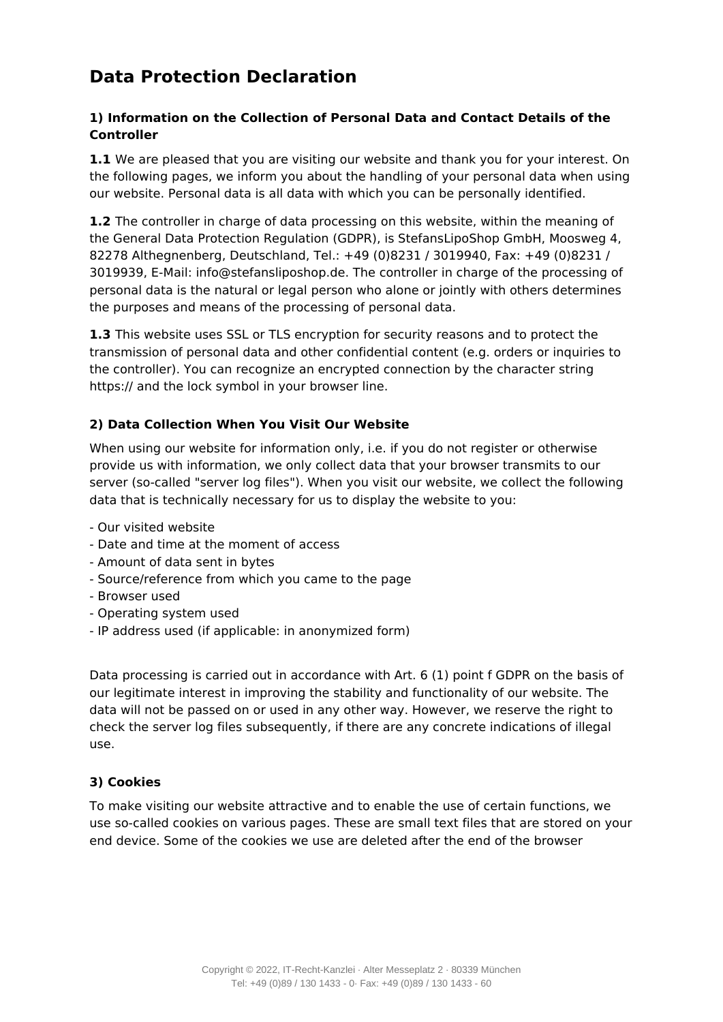# **Data Protection Declaration**

## **1) Information on the Collection of Personal Data and Contact Details of the Controller**

**1.1** We are pleased that you are visiting our website and thank you for your interest. On the following pages, we inform you about the handling of your personal data when using our website. Personal data is all data with which you can be personally identified.

**1.2** The controller in charge of data processing on this website, within the meaning of the General Data Protection Regulation (GDPR), is StefansLipoShop GmbH, Moosweg 4, 82278 Althegnenberg, Deutschland, Tel.: +49 (0)8231 / 3019940, Fax: +49 (0)8231 / 3019939, E-Mail: info@stefansliposhop.de. The controller in charge of the processing of personal data is the natural or legal person who alone or jointly with others determines the purposes and means of the processing of personal data.

**1.3** This website uses SSL or TLS encryption for security reasons and to protect the transmission of personal data and other confidential content (e.g. orders or inquiries to the controller). You can recognize an encrypted connection by the character string https:// and the lock symbol in your browser line.

## **2) Data Collection When You Visit Our Website**

When using our website for information only, i.e. if you do not register or otherwise provide us with information, we only collect data that your browser transmits to our server (so-called "server log files"). When you visit our website, we collect the following data that is technically necessary for us to display the website to you:

- Our visited website
- Date and time at the moment of access
- Amount of data sent in bytes
- Source/reference from which you came to the page
- Browser used
- Operating system used
- IP address used (if applicable: in anonymized form)

Data processing is carried out in accordance with Art. 6 (1) point f GDPR on the basis of our legitimate interest in improving the stability and functionality of our website. The data will not be passed on or used in any other way. However, we reserve the right to check the server log files subsequently, if there are any concrete indications of illegal use.

## **3) Cookies**

To make visiting our website attractive and to enable the use of certain functions, we use so-called cookies on various pages. These are small text files that are stored on your end device. Some of the cookies we use are deleted after the end of the browser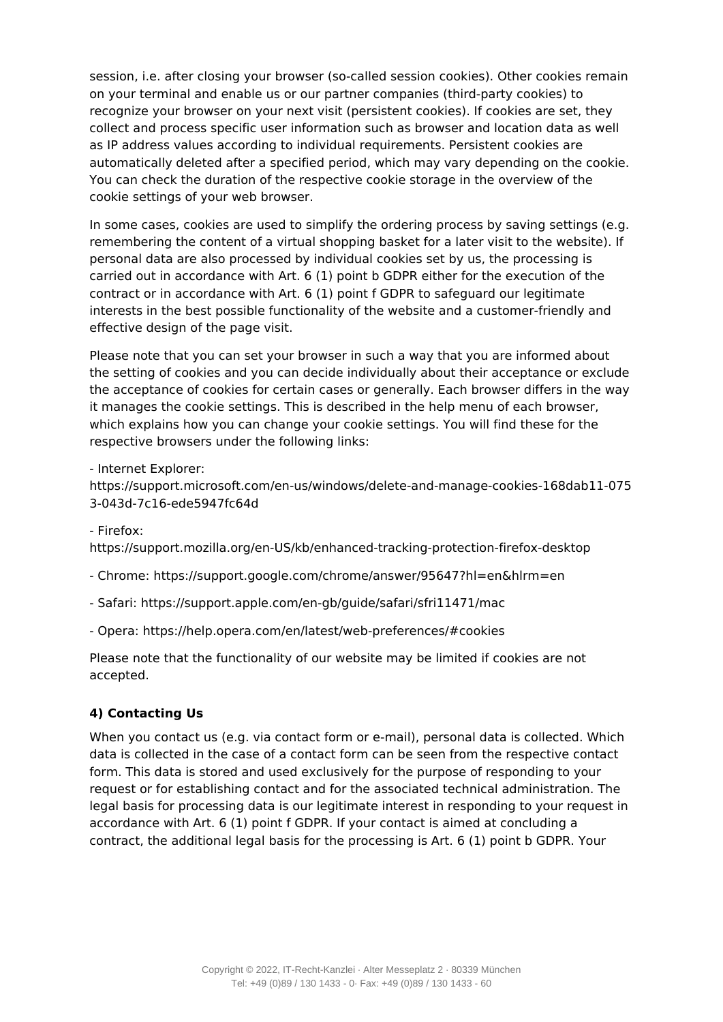session, i.e. after closing your browser (so-called session cookies). Other cookies remain on your terminal and enable us or our partner companies (third-party cookies) to recognize your browser on your next visit (persistent cookies). If cookies are set, they collect and process specific user information such as browser and location data as well as IP address values according to individual requirements. Persistent cookies are automatically deleted after a specified period, which may vary depending on the cookie. You can check the duration of the respective cookie storage in the overview of the cookie settings of your web browser.

In some cases, cookies are used to simplify the ordering process by saving settings (e.g. remembering the content of a virtual shopping basket for a later visit to the website). If personal data are also processed by individual cookies set by us, the processing is carried out in accordance with Art. 6 (1) point b GDPR either for the execution of the contract or in accordance with Art. 6 (1) point f GDPR to safeguard our legitimate interests in the best possible functionality of the website and a customer-friendly and effective design of the page visit.

Please note that you can set your browser in such a way that you are informed about the setting of cookies and you can decide individually about their acceptance or exclude the acceptance of cookies for certain cases or generally. Each browser differs in the way it manages the cookie settings. This is described in the help menu of each browser, which explains how you can change your cookie settings. You will find these for the respective browsers under the following links:

- Internet Explorer:

https://support.microsoft.com/en-us/windows/delete-and-manage-cookies-168dab11-075 3-043d-7c16-ede5947fc64d

- Firefox:

https://support.mozilla.org/en-US/kb/enhanced-tracking-protection-firefox-desktop

- Chrome: https://support.google.com/chrome/answer/95647?hl=en&hlrm=en
- Safari: https://support.apple.com/en-gb/guide/safari/sfri11471/mac
- Opera: https://help.opera.com/en/latest/web-preferences/#cookies

Please note that the functionality of our website may be limited if cookies are not accepted.

## **4) Contacting Us**

When you contact us (e.g. via contact form or e-mail), personal data is collected. Which data is collected in the case of a contact form can be seen from the respective contact form. This data is stored and used exclusively for the purpose of responding to your request or for establishing contact and for the associated technical administration. The legal basis for processing data is our legitimate interest in responding to your request in accordance with Art. 6 (1) point f GDPR. If your contact is aimed at concluding a contract, the additional legal basis for the processing is Art. 6 (1) point b GDPR. Your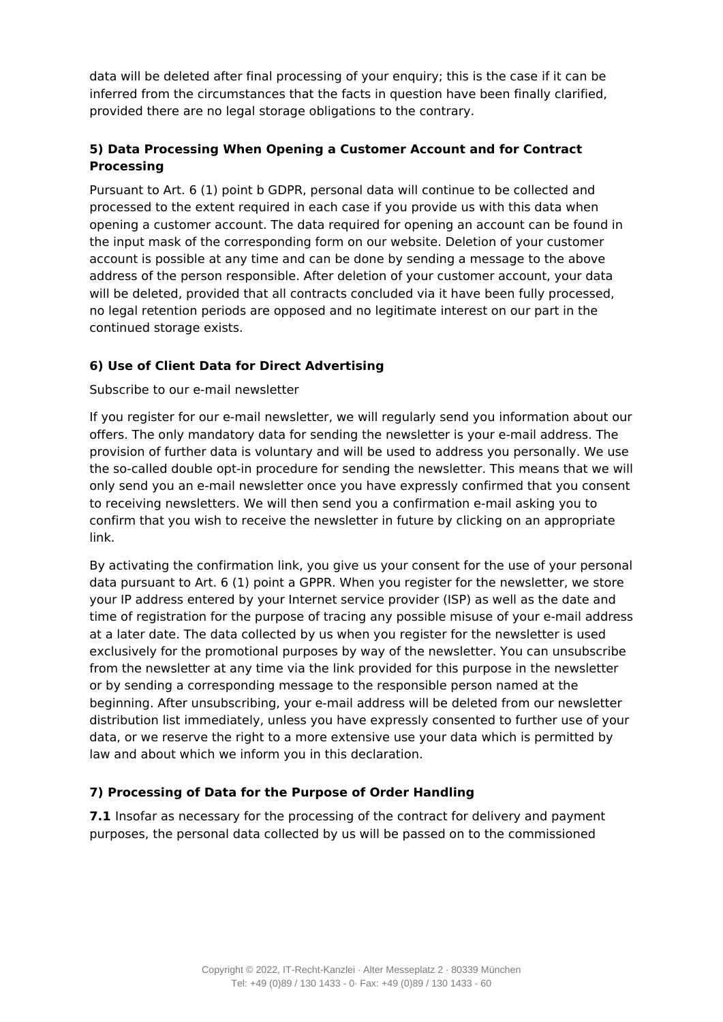data will be deleted after final processing of your enquiry; this is the case if it can be inferred from the circumstances that the facts in question have been finally clarified, provided there are no legal storage obligations to the contrary.

# **5) Data Processing When Opening a Customer Account and for Contract Processing**

Pursuant to Art. 6 (1) point b GDPR, personal data will continue to be collected and processed to the extent required in each case if you provide us with this data when opening a customer account. The data required for opening an account can be found in the input mask of the corresponding form on our website. Deletion of your customer account is possible at any time and can be done by sending a message to the above address of the person responsible. After deletion of your customer account, your data will be deleted, provided that all contracts concluded via it have been fully processed, no legal retention periods are opposed and no legitimate interest on our part in the continued storage exists.

# **6) Use of Client Data for Direct Advertising**

## Subscribe to our e-mail newsletter

If you register for our e-mail newsletter, we will regularly send you information about our offers. The only mandatory data for sending the newsletter is your e-mail address. The provision of further data is voluntary and will be used to address you personally. We use the so-called double opt-in procedure for sending the newsletter. This means that we will only send you an e-mail newsletter once you have expressly confirmed that you consent to receiving newsletters. We will then send you a confirmation e-mail asking you to confirm that you wish to receive the newsletter in future by clicking on an appropriate link.

By activating the confirmation link, you give us your consent for the use of your personal data pursuant to Art. 6 (1) point a GPPR. When you register for the newsletter, we store your IP address entered by your Internet service provider (ISP) as well as the date and time of registration for the purpose of tracing any possible misuse of your e-mail address at a later date. The data collected by us when you register for the newsletter is used exclusively for the promotional purposes by way of the newsletter. You can unsubscribe from the newsletter at any time via the link provided for this purpose in the newsletter or by sending a corresponding message to the responsible person named at the beginning. After unsubscribing, your e-mail address will be deleted from our newsletter distribution list immediately, unless you have expressly consented to further use of your data, or we reserve the right to a more extensive use your data which is permitted by law and about which we inform you in this declaration.

## **7) Processing of Data for the Purpose of Order Handling**

**7.1** Insofar as necessary for the processing of the contract for delivery and payment purposes, the personal data collected by us will be passed on to the commissioned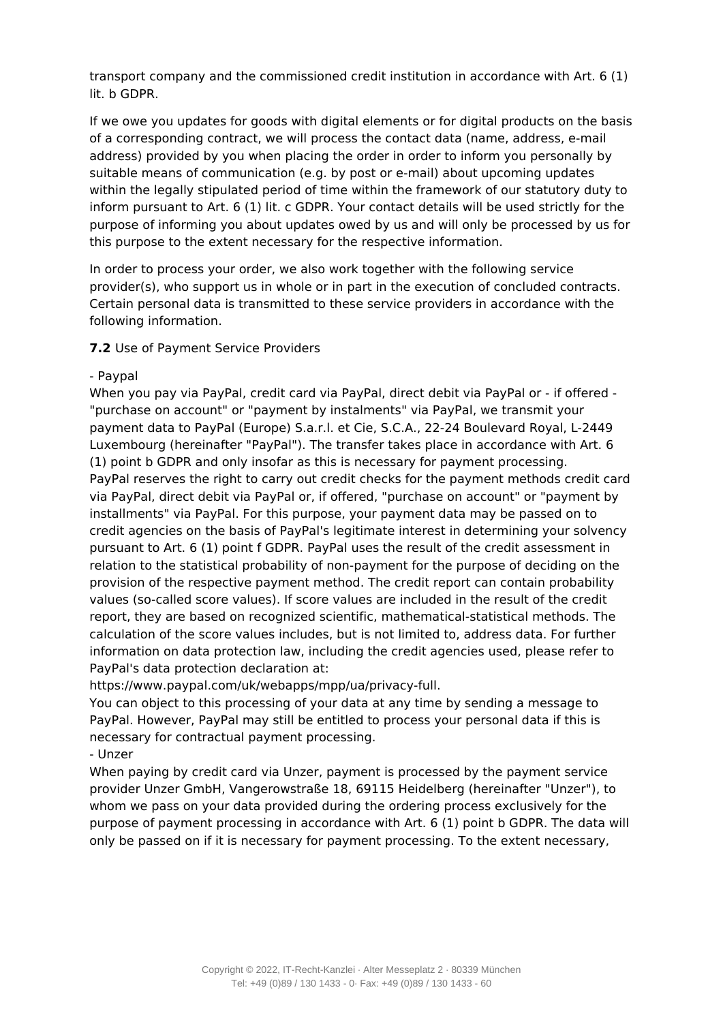transport company and the commissioned credit institution in accordance with Art. 6 (1) lit. b GDPR.

If we owe you updates for goods with digital elements or for digital products on the basis of a corresponding contract, we will process the contact data (name, address, e-mail address) provided by you when placing the order in order to inform you personally by suitable means of communication (e.g. by post or e-mail) about upcoming updates within the legally stipulated period of time within the framework of our statutory duty to inform pursuant to Art. 6 (1) lit. c GDPR. Your contact details will be used strictly for the purpose of informing you about updates owed by us and will only be processed by us for this purpose to the extent necessary for the respective information.

In order to process your order, we also work together with the following service provider(s), who support us in whole or in part in the execution of concluded contracts. Certain personal data is transmitted to these service providers in accordance with the following information.

## **7.2** Use of Payment Service Providers

#### - Paypal

When you pay via PayPal, credit card via PayPal, direct debit via PayPal or - if offered - "purchase on account" or "payment by instalments" via PayPal, we transmit your payment data to PayPal (Europe) S.a.r.l. et Cie, S.C.A., 22-24 Boulevard Royal, L-2449 Luxembourg (hereinafter "PayPal"). The transfer takes place in accordance with Art. 6 (1) point b GDPR and only insofar as this is necessary for payment processing. PayPal reserves the right to carry out credit checks for the payment methods credit card via PayPal, direct debit via PayPal or, if offered, "purchase on account" or "payment by installments" via PayPal. For this purpose, your payment data may be passed on to credit agencies on the basis of PayPal's legitimate interest in determining your solvency pursuant to Art. 6 (1) point f GDPR. PayPal uses the result of the credit assessment in relation to the statistical probability of non-payment for the purpose of deciding on the provision of the respective payment method. The credit report can contain probability values (so-called score values). If score values are included in the result of the credit report, they are based on recognized scientific, mathematical-statistical methods. The calculation of the score values includes, but is not limited to, address data. For further information on data protection law, including the credit agencies used, please refer to PayPal's data protection declaration at:

https://www.paypal.com/uk/webapps/mpp/ua/privacy-full.

You can object to this processing of your data at any time by sending a message to PayPal. However, PayPal may still be entitled to process your personal data if this is necessary for contractual payment processing.

## - Unzer

When paying by credit card via Unzer, payment is processed by the payment service provider Unzer GmbH, Vangerowstraße 18, 69115 Heidelberg (hereinafter "Unzer"), to whom we pass on your data provided during the ordering process exclusively for the purpose of payment processing in accordance with Art. 6 (1) point b GDPR. The data will only be passed on if it is necessary for payment processing. To the extent necessary,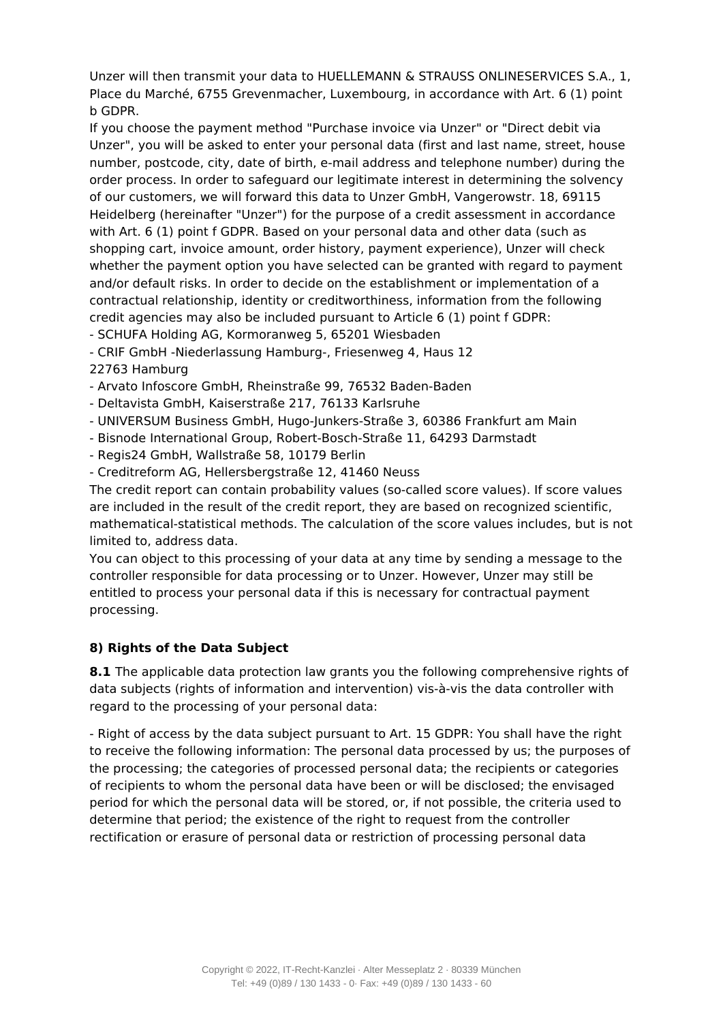Unzer will then transmit your data to HUELLEMANN & STRAUSS ONLINESERVICES S.A., 1, Place du Marché, 6755 Grevenmacher, Luxembourg, in accordance with Art. 6 (1) point b GDPR.

If you choose the payment method "Purchase invoice via Unzer" or "Direct debit via Unzer", you will be asked to enter your personal data (first and last name, street, house number, postcode, city, date of birth, e-mail address and telephone number) during the order process. In order to safeguard our legitimate interest in determining the solvency of our customers, we will forward this data to Unzer GmbH, Vangerowstr. 18, 69115 Heidelberg (hereinafter "Unzer") for the purpose of a credit assessment in accordance with Art. 6 (1) point f GDPR. Based on your personal data and other data (such as shopping cart, invoice amount, order history, payment experience), Unzer will check whether the payment option you have selected can be granted with regard to payment and/or default risks. In order to decide on the establishment or implementation of a contractual relationship, identity or creditworthiness, information from the following credit agencies may also be included pursuant to Article 6 (1) point f GDPR:

- SCHUFA Holding AG, Kormoranweg 5, 65201 Wiesbaden

- CRIF GmbH -Niederlassung Hamburg-, Friesenweg 4, Haus 12 22763 Hamburg

- Arvato Infoscore GmbH, Rheinstraße 99, 76532 Baden-Baden

- Deltavista GmbH, Kaiserstraße 217, 76133 Karlsruhe
- UNIVERSUM Business GmbH, Hugo-Junkers-Straße 3, 60386 Frankfurt am Main
- Bisnode International Group, Robert-Bosch-Straße 11, 64293 Darmstadt
- Regis24 GmbH, Wallstraße 58, 10179 Berlin
- Creditreform AG, Hellersbergstraße 12, 41460 Neuss

The credit report can contain probability values (so-called score values). If score values are included in the result of the credit report, they are based on recognized scientific, mathematical-statistical methods. The calculation of the score values includes, but is not limited to, address data.

You can object to this processing of your data at any time by sending a message to the controller responsible for data processing or to Unzer. However, Unzer may still be entitled to process your personal data if this is necessary for contractual payment processing.

## **8) Rights of the Data Subject**

**8.1** The applicable data protection law grants you the following comprehensive rights of data subjects (rights of information and intervention) vis-à-vis the data controller with regard to the processing of your personal data:

- Right of access by the data subject pursuant to Art. 15 GDPR: You shall have the right to receive the following information: The personal data processed by us; the purposes of the processing; the categories of processed personal data; the recipients or categories of recipients to whom the personal data have been or will be disclosed; the envisaged period for which the personal data will be stored, or, if not possible, the criteria used to determine that period; the existence of the right to request from the controller rectification or erasure of personal data or restriction of processing personal data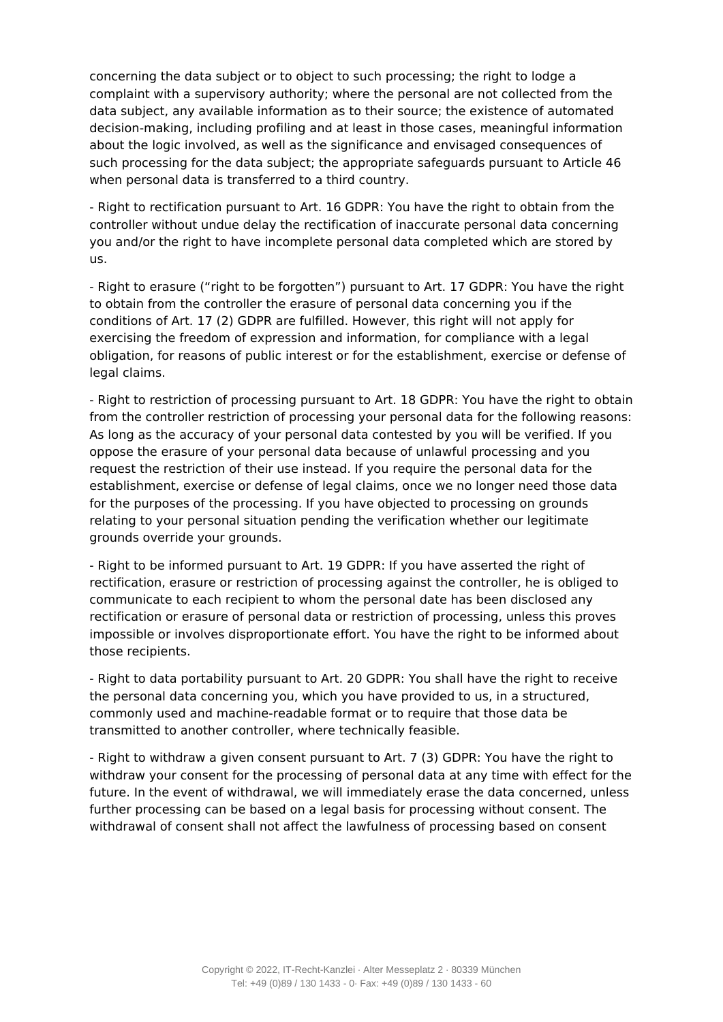concerning the data subject or to object to such processing; the right to lodge a complaint with a supervisory authority; where the personal are not collected from the data subject, any available information as to their source; the existence of automated decision-making, including profiling and at least in those cases, meaningful information about the logic involved, as well as the significance and envisaged consequences of such processing for the data subject; the appropriate safeguards pursuant to Article 46 when personal data is transferred to a third country.

- Right to rectification pursuant to Art. 16 GDPR: You have the right to obtain from the controller without undue delay the rectification of inaccurate personal data concerning you and/or the right to have incomplete personal data completed which are stored by us.

- Right to erasure ("right to be forgotten") pursuant to Art. 17 GDPR: You have the right to obtain from the controller the erasure of personal data concerning you if the conditions of Art. 17 (2) GDPR are fulfilled. However, this right will not apply for exercising the freedom of expression and information, for compliance with a legal obligation, for reasons of public interest or for the establishment, exercise or defense of legal claims.

- Right to restriction of processing pursuant to Art. 18 GDPR: You have the right to obtain from the controller restriction of processing your personal data for the following reasons: As long as the accuracy of your personal data contested by you will be verified. If you oppose the erasure of your personal data because of unlawful processing and you request the restriction of their use instead. If you require the personal data for the establishment, exercise or defense of legal claims, once we no longer need those data for the purposes of the processing. If you have objected to processing on grounds relating to your personal situation pending the verification whether our legitimate grounds override your grounds.

- Right to be informed pursuant to Art. 19 GDPR: If you have asserted the right of rectification, erasure or restriction of processing against the controller, he is obliged to communicate to each recipient to whom the personal date has been disclosed any rectification or erasure of personal data or restriction of processing, unless this proves impossible or involves disproportionate effort. You have the right to be informed about those recipients.

- Right to data portability pursuant to Art. 20 GDPR: You shall have the right to receive the personal data concerning you, which you have provided to us, in a structured, commonly used and machine-readable format or to require that those data be transmitted to another controller, where technically feasible.

- Right to withdraw a given consent pursuant to Art. 7 (3) GDPR: You have the right to withdraw your consent for the processing of personal data at any time with effect for the future. In the event of withdrawal, we will immediately erase the data concerned, unless further processing can be based on a legal basis for processing without consent. The withdrawal of consent shall not affect the lawfulness of processing based on consent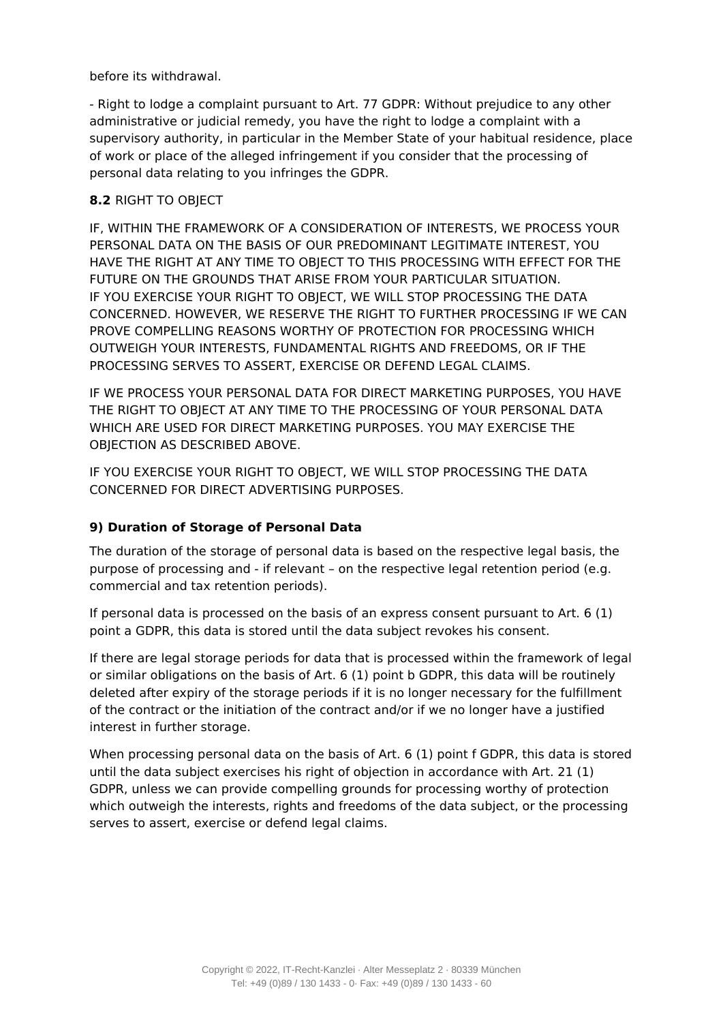before its withdrawal.

- Right to lodge a complaint pursuant to Art. 77 GDPR: Without prejudice to any other administrative or judicial remedy, you have the right to lodge a complaint with a supervisory authority, in particular in the Member State of your habitual residence, place of work or place of the alleged infringement if you consider that the processing of personal data relating to you infringes the GDPR.

## **8.2** RIGHT TO OBJECT

IF, WITHIN THE FRAMEWORK OF A CONSIDERATION OF INTERESTS, WE PROCESS YOUR PERSONAL DATA ON THE BASIS OF OUR PREDOMINANT LEGITIMATE INTEREST, YOU HAVE THE RIGHT AT ANY TIME TO OBJECT TO THIS PROCESSING WITH EFFECT FOR THE FUTURE ON THE GROUNDS THAT ARISE FROM YOUR PARTICULAR SITUATION. IF YOU EXERCISE YOUR RIGHT TO OBJECT, WE WILL STOP PROCESSING THE DATA CONCERNED. HOWEVER, WE RESERVE THE RIGHT TO FURTHER PROCESSING IF WE CAN PROVE COMPELLING REASONS WORTHY OF PROTECTION FOR PROCESSING WHICH OUTWEIGH YOUR INTERESTS, FUNDAMENTAL RIGHTS AND FREEDOMS, OR IF THE PROCESSING SERVES TO ASSERT, EXERCISE OR DEFEND LEGAL CLAIMS.

IF WE PROCESS YOUR PERSONAL DATA FOR DIRECT MARKETING PURPOSES, YOU HAVE THE RIGHT TO OBJECT AT ANY TIME TO THE PROCESSING OF YOUR PERSONAL DATA WHICH ARE USED FOR DIRECT MARKETING PURPOSES. YOU MAY EXERCISE THE OBJECTION AS DESCRIBED ABOVE.

IF YOU EXERCISE YOUR RIGHT TO OBJECT, WE WILL STOP PROCESSING THE DATA CONCERNED FOR DIRECT ADVERTISING PURPOSES.

## **9) Duration of Storage of Personal Data**

The duration of the storage of personal data is based on the respective legal basis, the purpose of processing and - if relevant – on the respective legal retention period (e.g. commercial and tax retention periods).

If personal data is processed on the basis of an express consent pursuant to Art. 6 (1) point a GDPR, this data is stored until the data subject revokes his consent.

If there are legal storage periods for data that is processed within the framework of legal or similar obligations on the basis of Art. 6 (1) point b GDPR, this data will be routinely deleted after expiry of the storage periods if it is no longer necessary for the fulfillment of the contract or the initiation of the contract and/or if we no longer have a justified interest in further storage.

When processing personal data on the basis of Art. 6 (1) point f GDPR, this data is stored until the data subject exercises his right of objection in accordance with Art. 21 (1) GDPR, unless we can provide compelling grounds for processing worthy of protection which outweigh the interests, rights and freedoms of the data subject, or the processing serves to assert, exercise or defend legal claims.